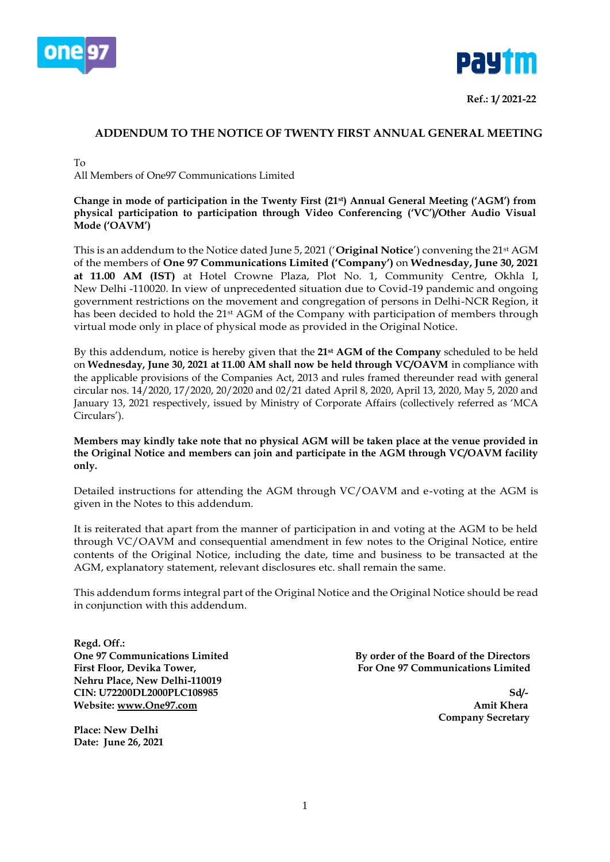



**Ref.: 1/ 2021-22**

# **ADDENDUM TO THE NOTICE OF TWENTY FIRST ANNUAL GENERAL MEETING**

To

All Members of One97 Communications Limited

**Change in mode of participation in the Twenty First (21st) Annual General Meeting ('AGM') from physical participation to participation through Video Conferencing ('VC')/Other Audio Visual Mode ('OAVM')**

This is an addendum to the Notice dated June 5, 2021 ('**Original Notice**') convening the 21st AGM of the members of **One 97 Communications Limited ('Company')** on **Wednesday, June 30, 2021 at 11.00 AM (IST)** at Hotel Crowne Plaza, Plot No. 1, Community Centre, Okhla I, New Delhi -110020. In view of unprecedented situation due to Covid-19 pandemic and ongoing government restrictions on the movement and congregation of persons in Delhi-NCR Region, it has been decided to hold the 21<sup>st</sup> AGM of the Company with participation of members through virtual mode only in place of physical mode as provided in the Original Notice.

By this addendum, notice is hereby given that the **21st AGM of the Company** scheduled to be held on **Wednesday, June 30, 2021 at 11.00 AM shall now be held through VC/OAVM** in compliance with the applicable provisions of the Companies Act, 2013 and rules framed thereunder read with general circular nos. 14/2020, 17/2020, 20/2020 and 02/21 dated April 8, 2020, April 13, 2020, May 5, 2020 and January 13, 2021 respectively, issued by Ministry of Corporate Affairs (collectively referred as 'MCA Circulars').

**Members may kindly take note that no physical AGM will be taken place at the venue provided in the Original Notice and members can join and participate in the AGM through VC/OAVM facility only.**

Detailed instructions for attending the AGM through VC/OAVM and e-voting at the AGM is given in the Notes to this addendum.

It is reiterated that apart from the manner of participation in and voting at the AGM to be held through VC/OAVM and consequential amendment in few notes to the Original Notice, entire contents of the Original Notice, including the date, time and business to be transacted at the AGM, explanatory statement, relevant disclosures etc. shall remain the same.

This addendum forms integral part of the Original Notice and the Original Notice should be read in conjunction with this addendum.

**Regd. Off.: Nehru Place, New Delhi-110019 CIN: U72200DL2000PLC108985 Sd/- Website:** [www.One97.com](http://www.one97.com/) **Amit Khera** Amit Khera

**Place: New Delhi Date: June 26, 2021**

**One 97 Communications Limited By order of the Board of the Directors** First Floor, Devika Tower, **For One 97 Communications Limited** 

 **Company Secretary**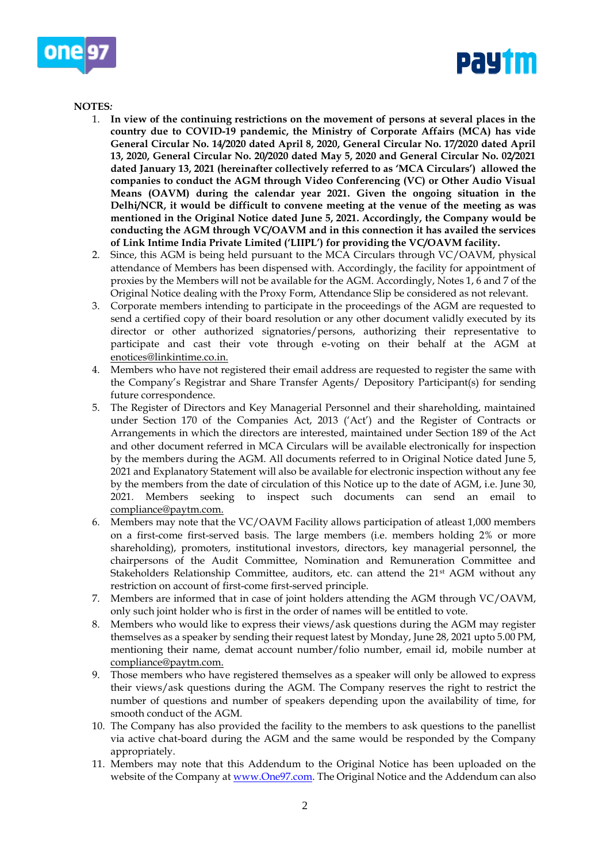



# **NOTES***:*

- 1. **In view of the continuing restrictions on the movement of persons at several places in the country due to COVID-19 pandemic, the Ministry of Corporate Affairs (MCA) has vide General Circular No. 14/2020 dated April 8, 2020, General Circular No. 17/2020 dated April 13, 2020, General Circular No. 20/2020 dated May 5, 2020 and General Circular No. 02/2021 dated January 13, 2021 (hereinafter collectively referred to as 'MCA Circulars') allowed the companies to conduct the AGM through Video Conferencing (VC) or Other Audio Visual Means (OAVM) during the calendar year 2021. Given the ongoing situation in the Delhi/NCR, it would be difficult to convene meeting at the venue of the meeting as was mentioned in the Original Notice dated June 5, 2021. Accordingly, the Company would be conducting the AGM through VC/OAVM and in this connection it has availed the services of Link Intime India Private Limited ('LIIPL') for providing the VC/OAVM facility.**
- 2. Since, this AGM is being held pursuant to the MCA Circulars through VC/OAVM, physical attendance of Members has been dispensed with. Accordingly, the facility for appointment of proxies by the Members will not be available for the AGM. Accordingly, Notes 1, 6 and 7 of the Original Notice dealing with the Proxy Form, Attendance Slip be considered as not relevant.
- 3. Corporate members intending to participate in the proceedings of the AGM are requested to send a certified copy of their board resolution or any other document validly executed by its director or other authorized signatories/persons, authorizing their representative to participate and cast their vote through e-voting on their behalf at the AGM at enotices@linkintime.co.in.
- 4. Members who have not registered their email address are requested to register the same with the Company's Registrar and Share Transfer Agents/ Depository Participant(s) for sending future correspondence.
- 5. The Register of Directors and Key Managerial Personnel and their shareholding, maintained under Section 170 of the Companies Act, 2013 ('Act') and the Register of Contracts or Arrangements in which the directors are interested, maintained under Section 189 of the Act and other document referred in MCA Circulars will be available electronically for inspection by the members during the AGM. All documents referred to in Original Notice dated June 5, 2021 and Explanatory Statement will also be available for electronic inspection without any fee by the members from the date of circulation of this Notice up to the date of AGM, i.e. June 30, 2021. Members seeking to inspect such documents can send an email to compliance@paytm.com.
- 6. Members may note that the VC/OAVM Facility allows participation of atleast 1,000 members on a first-come first-served basis. The large members (i.e. members holding 2% or more shareholding), promoters, institutional investors, directors, key managerial personnel, the chairpersons of the Audit Committee, Nomination and Remuneration Committee and Stakeholders Relationship Committee, auditors, etc. can attend the  $21<sup>st</sup>$  AGM without any restriction on account of first-come first-served principle.
- 7. Members are informed that in case of joint holders attending the AGM through VC/OAVM, only such joint holder who is first in the order of names will be entitled to vote.
- 8. Members who would like to express their views/ask questions during the AGM may register themselves as a speaker by sending their request latest by Monday, June 28, 2021 upto 5.00 PM, mentioning their name, demat account number/folio number, email id, mobile number at compliance@paytm.com.
- 9. Those members who have registered themselves as a speaker will only be allowed to express their views/ask questions during the AGM. The Company reserves the right to restrict the number of questions and number of speakers depending upon the availability of time, for smooth conduct of the AGM.
- 10. The Company has also provided the facility to the members to ask questions to the panellist via active chat-board during the AGM and the same would be responded by the Company appropriately.
- 11. Members may note that this Addendum to the Original Notice has been uploaded on the website of the Company a[t www.One97.com.](file:///C:/Users/gaurav.pandit/Downloads/www.One97.com) The Original Notice and the Addendum can also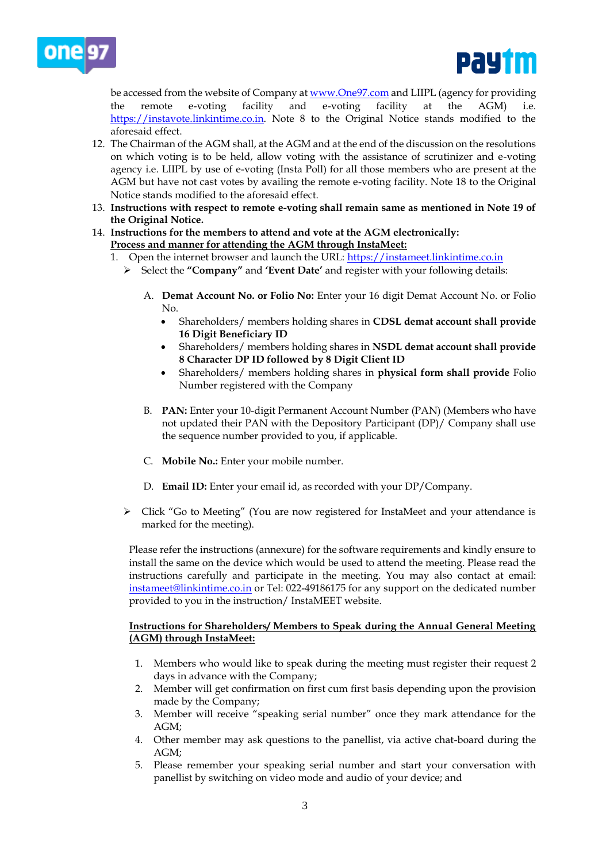



be accessed from the website of Company at [www.One97.com](file:///C:/Users/gaurav.pandit/Downloads/www.One97.com) and LIIPL (agency for providing the remote e-voting facility and e-voting facility at the AGM) [https://instavote.linkintime.co.in.](https://instavote.linkintime.co.in/) Note 8 to the Original Notice stands modified to the aforesaid effect.

- 12. The Chairman of the AGM shall, at the AGM and at the end of the discussion on the resolutions on which voting is to be held, allow voting with the assistance of scrutinizer and e-voting agency i.e. LIIPL by use of e-voting (Insta Poll) for all those members who are present at the AGM but have not cast votes by availing the remote e-voting facility. Note 18 to the Original Notice stands modified to the aforesaid effect.
- 13. **Instructions with respect to remote e-voting shall remain same as mentioned in Note 19 of the Original Notice.**
- 14. **Instructions for the members to attend and vote at the AGM electronically: Process and manner for attending the AGM through InstaMeet:**
	- 1. Open the internet browser and launch the URL: [https://instameet.linkintime.co.in](https://instameet.linkintime.co.in/)
		- Select the **"Company"** and **'Event Date'** and register with your following details:
			- A. **Demat Account No. or Folio No:** Enter your 16 digit Demat Account No. or Folio No.
				- Shareholders/ members holding shares in **CDSL demat account shall provide 16 Digit Beneficiary ID**
				- Shareholders/ members holding shares in **NSDL demat account shall provide 8 Character DP ID followed by 8 Digit Client ID**
				- Shareholders/ members holding shares in **physical form shall provide** Folio Number registered with the Company
			- B. **PAN:** Enter your 10-digit Permanent Account Number (PAN) (Members who have not updated their PAN with the Depository Participant (DP)/ Company shall use the sequence number provided to you, if applicable.
			- C. **Mobile No.:** Enter your mobile number.
			- D. **Email ID:** Enter your email id, as recorded with your DP/Company.
		- $\triangleright$  Click "Go to Meeting" (You are now registered for InstaMeet and your attendance is marked for the meeting).

Please refer the instructions (annexure) for the software requirements and kindly ensure to install the same on the device which would be used to attend the meeting. Please read the instructions carefully and participate in the meeting. You may also contact at email: [instameet@linkintime.co.in](mailto:instameet@linkintime.co.in) or Tel: 022-49186175 for any support on the dedicated number provided to you in the instruction/ InstaMEET website.

#### **Instructions for Shareholders/ Members to Speak during the Annual General Meeting (AGM) through InstaMeet:**

- 1. Members who would like to speak during the meeting must register their request 2 days in advance with the Company;
- 2. Member will get confirmation on first cum first basis depending upon the provision made by the Company;
- 3. Member will receive "speaking serial number" once they mark attendance for the AGM;
- 4. Other member may ask questions to the panellist, via active chat-board during the AGM;
- 5. Please remember your speaking serial number and start your conversation with panellist by switching on video mode and audio of your device; and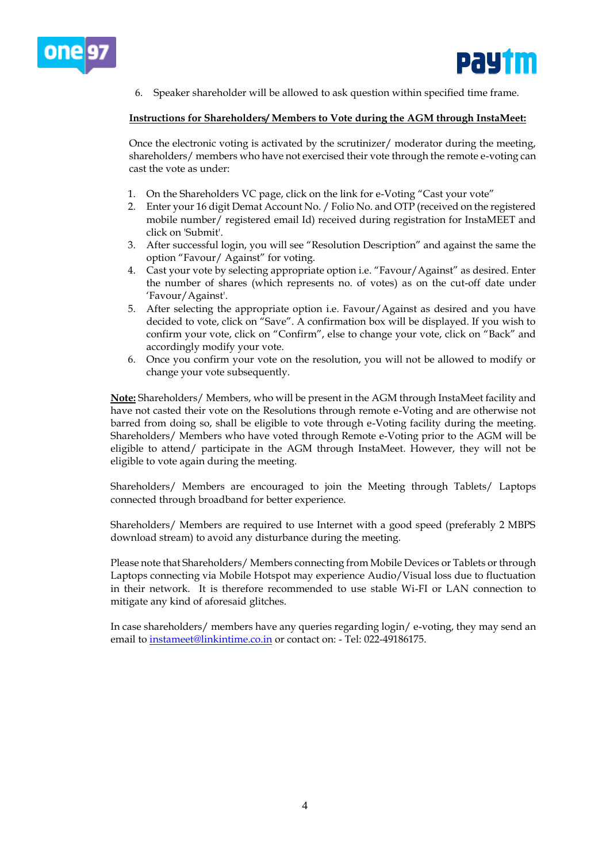



6. Speaker shareholder will be allowed to ask question within specified time frame.

### **Instructions for Shareholders/ Members to Vote during the AGM through InstaMeet:**

Once the electronic voting is activated by the scrutinizer/ moderator during the meeting, shareholders/ members who have not exercised their vote through the remote e-voting can cast the vote as under:

- 1. On the Shareholders VC page, click on the link for e-Voting "Cast your vote"
- 2. Enter your 16 digit Demat Account No. / Folio No. and OTP (received on the registered mobile number/ registered email Id) received during registration for InstaMEET and click on 'Submit'.
- 3. After successful login, you will see "Resolution Description" and against the same the option "Favour/ Against" for voting.
- 4. Cast your vote by selecting appropriate option i.e. "Favour/Against" as desired. Enter the number of shares (which represents no. of votes) as on the cut-off date under 'Favour/Against'.
- 5. After selecting the appropriate option i.e. Favour/Against as desired and you have decided to vote, click on "Save". A confirmation box will be displayed. If you wish to confirm your vote, click on "Confirm", else to change your vote, click on "Back" and accordingly modify your vote.
- 6. Once you confirm your vote on the resolution, you will not be allowed to modify or change your vote subsequently.

**Note:** Shareholders/ Members, who will be present in the AGM through InstaMeet facility and have not casted their vote on the Resolutions through remote e-Voting and are otherwise not barred from doing so, shall be eligible to vote through e-Voting facility during the meeting. Shareholders/ Members who have voted through Remote e-Voting prior to the AGM will be eligible to attend/ participate in the AGM through InstaMeet. However, they will not be eligible to vote again during the meeting.

Shareholders/ Members are encouraged to join the Meeting through Tablets/ Laptops connected through broadband for better experience.

Shareholders/ Members are required to use Internet with a good speed (preferably 2 MBPS download stream) to avoid any disturbance during the meeting.

Please note that Shareholders/ Members connecting from Mobile Devices or Tablets or through Laptops connecting via Mobile Hotspot may experience Audio/Visual loss due to fluctuation in their network. It is therefore recommended to use stable Wi-FI or LAN connection to mitigate any kind of aforesaid glitches.

In case shareholders/ members have any queries regarding login/ e-voting, they may send an email to [instameet@linkintime.co.in](mailto:instameet@linkintime.co.in) or contact on: - Tel: 022-49186175.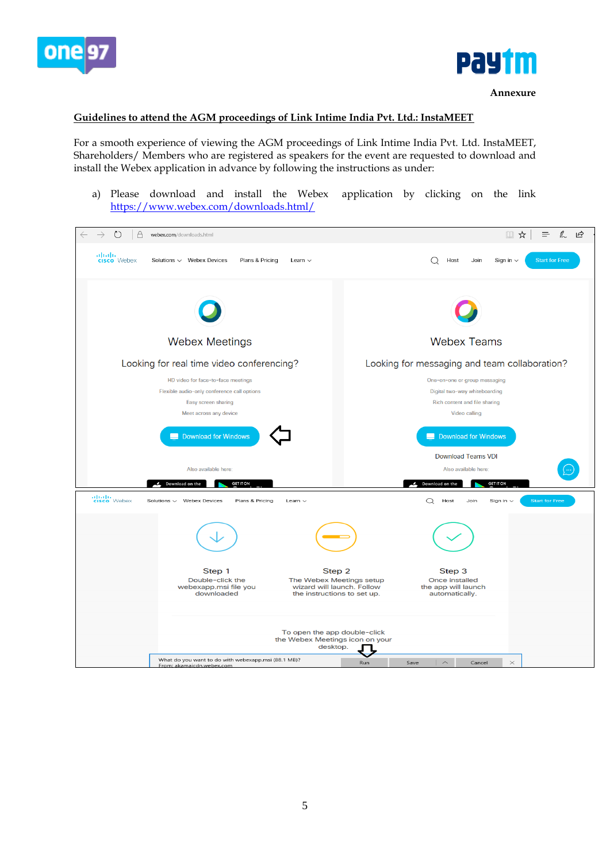



#### **Guidelines to attend the AGM proceedings of Link Intime India Pvt. Ltd.: InstaMEET**

For a smooth experience of viewing the AGM proceedings of Link Intime India Pvt. Ltd. InstaMEET, Shareholders/ Members who are registered as speakers for the event are requested to download and install the Webex application in advance by following the instructions as under:

a) Please download and install the Webex application by clicking on the link <https://www.webex.com/downloads.html/>

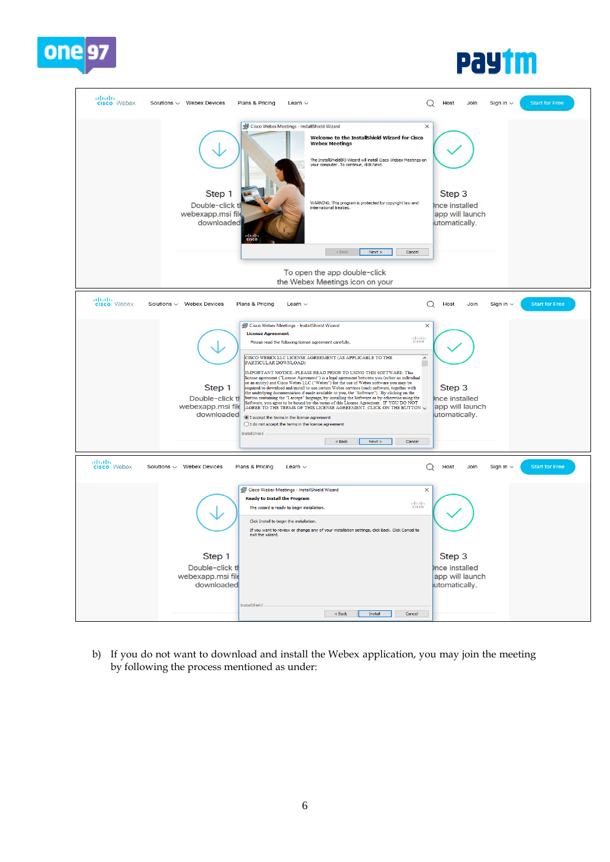

# **pay im**



b) If you do not want to download and install the Webex application, you may join the meeting by following the process mentioned as under: